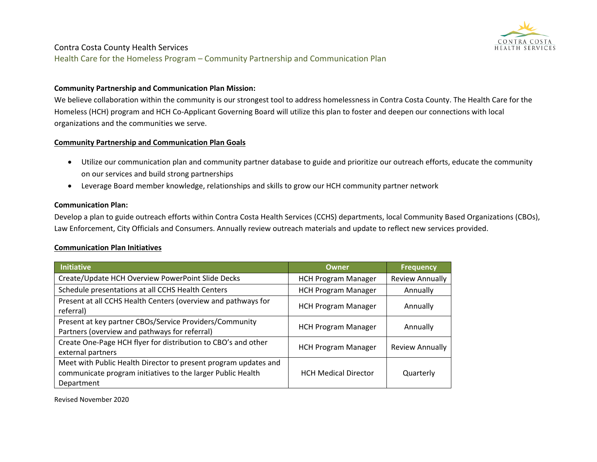

Health Care for the Homeless Program – Community Partnership and Communication Plan

#### **Community Partnership and Communication Plan Mission:**

We believe collaboration within the community is our strongest tool to address homelessness in Contra Costa County. The Health Care for the Homeless (HCH) program and HCH Co-Applicant Governing Board will utilize this plan to foster and deepen our connections with local organizations and the communities we serve.

#### **Community Partnership and Communication Plan Goals**

- Utilize our communication plan and community partner database to guide and prioritize our outreach efforts, educate the community on our services and build strong partnerships
- Leverage Board member knowledge, relationships and skills to grow our HCH community partner network

#### **Communication Plan:**

Develop a plan to guide outreach efforts within Contra Costa Health Services (CCHS) departments, local Community Based Organizations (CBOs), Law Enforcement, City Officials and Consumers. Annually review outreach materials and update to reflect new services provided.

#### **Communication Plan Initiatives**

| Initiative                                                                                                                                   | <b>Owner</b>                | <b>Frequency</b>       |
|----------------------------------------------------------------------------------------------------------------------------------------------|-----------------------------|------------------------|
| Create/Update HCH Overview PowerPoint Slide Decks                                                                                            | <b>HCH Program Manager</b>  | <b>Review Annually</b> |
| Schedule presentations at all CCHS Health Centers                                                                                            | <b>HCH Program Manager</b>  | Annually               |
| Present at all CCHS Health Centers (overview and pathways for<br>referral)                                                                   | <b>HCH Program Manager</b>  | Annually               |
| Present at key partner CBOs/Service Providers/Community<br>Partners (overview and pathways for referral)                                     | <b>HCH Program Manager</b>  | Annually               |
| Create One-Page HCH flyer for distribution to CBO's and other<br>external partners                                                           | <b>HCH Program Manager</b>  | <b>Review Annually</b> |
| Meet with Public Health Director to present program updates and<br>communicate program initiatives to the larger Public Health<br>Department | <b>HCH Medical Director</b> | Quarterly              |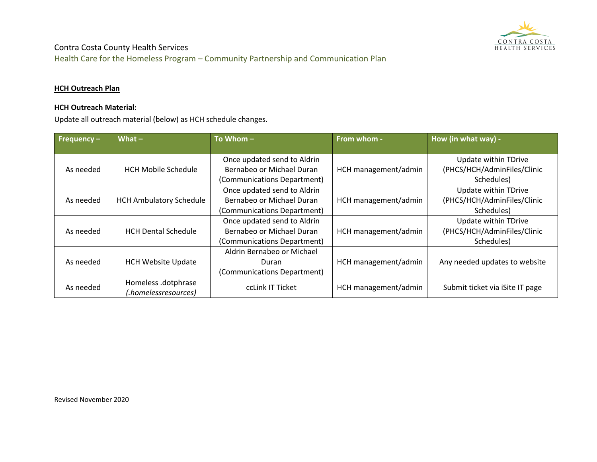

Health Care for the Homeless Program – Community Partnership and Communication Plan

### **HCH Outreach Plan**

### **HCH Outreach Material:**

Update all outreach material (below) as HCH schedule changes.

| Frequency $-$ | What $-$                       | To Whom $-$                 | From whom -          | How (in what way) -             |  |
|---------------|--------------------------------|-----------------------------|----------------------|---------------------------------|--|
|               |                                |                             |                      |                                 |  |
|               |                                | Once updated send to Aldrin |                      | Update within TDrive            |  |
| As needed     | <b>HCH Mobile Schedule</b>     | Bernabeo or Michael Duran   | HCH management/admin | (PHCS/HCH/AdminFiles/Clinic     |  |
|               |                                | (Communications Department) |                      | Schedules)                      |  |
|               |                                | Once updated send to Aldrin |                      | Update within TDrive            |  |
| As needed     | <b>HCH Ambulatory Schedule</b> | Bernabeo or Michael Duran   | HCH management/admin | (PHCS/HCH/AdminFiles/Clinic     |  |
|               |                                | (Communications Department) |                      | Schedules)                      |  |
|               |                                | Once updated send to Aldrin |                      | Update within TDrive            |  |
| As needed     | <b>HCH Dental Schedule</b>     | Bernabeo or Michael Duran   | HCH management/admin | (PHCS/HCH/AdminFiles/Clinic     |  |
|               |                                | (Communications Department) |                      | Schedules)                      |  |
|               |                                | Aldrin Bernabeo or Michael  |                      |                                 |  |
| As needed     | <b>HCH Website Update</b>      | Duran                       | HCH management/admin | Any needed updates to website   |  |
|               |                                | (Communications Department) |                      |                                 |  |
|               | Homeless .dotphrase            | ccLink IT Ticket            |                      |                                 |  |
| As needed     | (homelessresources.)           |                             | HCH management/admin | Submit ticket via iSite IT page |  |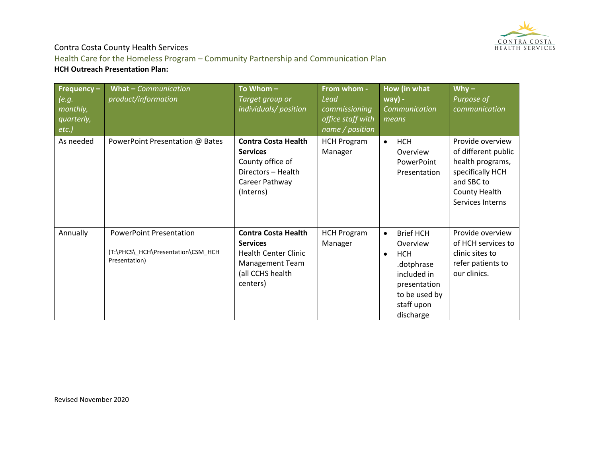

Health Care for the Homeless Program – Community Partnership and Communication Plan **HCH Outreach Presentation Plan:**

| Frequency $-$<br>(e.g.<br>monthly,<br>quarterly,<br>$etc.$ ) | What - Communication<br>product/information                                           | To Whom-<br>Target group or<br>individuals/position                                                                                    | From whom -<br>Lead<br>commissioning<br>office staff with<br>name / position | How (in what<br>$way) -$<br>Communication<br>means                                                                                                            | $Why -$<br>Purpose of<br>communication                                                                                             |
|--------------------------------------------------------------|---------------------------------------------------------------------------------------|----------------------------------------------------------------------------------------------------------------------------------------|------------------------------------------------------------------------------|---------------------------------------------------------------------------------------------------------------------------------------------------------------|------------------------------------------------------------------------------------------------------------------------------------|
| As needed                                                    | PowerPoint Presentation @ Bates                                                       | <b>Contra Costa Health</b><br><b>Services</b><br>County office of<br>Directors - Health<br>Career Pathway<br>(Interns)                 | <b>HCH Program</b><br>Manager                                                | <b>HCH</b><br>$\bullet$<br>Overview<br>PowerPoint<br>Presentation                                                                                             | Provide overview<br>of different public<br>health programs,<br>specifically HCH<br>and SBC to<br>County Health<br>Services Interns |
| Annually                                                     | <b>PowerPoint Presentation</b><br>(T:\PHCS\_HCH\Presentation\CSM_HCH<br>Presentation) | <b>Contra Costa Health</b><br><b>Services</b><br><b>Health Center Clinic</b><br><b>Management Team</b><br>(all CCHS health<br>centers) | <b>HCH Program</b><br>Manager                                                | <b>Brief HCH</b><br>$\bullet$<br>Overview<br><b>HCH</b><br>$\bullet$<br>.dotphrase<br>included in<br>presentation<br>to be used by<br>staff upon<br>discharge | Provide overview<br>of HCH services to<br>clinic sites to<br>refer patients to<br>our clinics.                                     |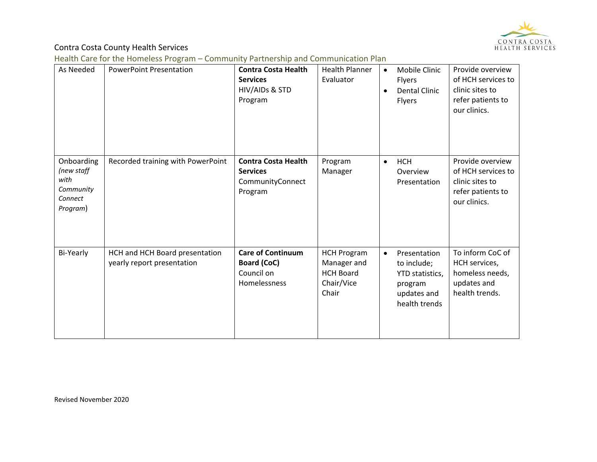

Health Care for the Homeless Program – Community Partnership and Communication Plan

| As Needed                                                            | <b>PowerPoint Presentation</b>                               | <b>Contra Costa Health</b><br><b>Services</b><br>HIV/AIDs & STD<br>Program   | <b>Health Planner</b><br>Evaluator                                           | $\bullet$ | Mobile Clinic<br><b>Flyers</b><br><b>Dental Clinic</b><br>Flyers                          | Provide overview<br>of HCH services to<br>clinic sites to<br>refer patients to<br>our clinics. |
|----------------------------------------------------------------------|--------------------------------------------------------------|------------------------------------------------------------------------------|------------------------------------------------------------------------------|-----------|-------------------------------------------------------------------------------------------|------------------------------------------------------------------------------------------------|
| Onboarding<br>(new staff<br>with<br>Community<br>Connect<br>Program) | Recorded training with PowerPoint                            | <b>Contra Costa Health</b><br><b>Services</b><br>CommunityConnect<br>Program | Program<br>Manager                                                           | $\bullet$ | <b>HCH</b><br>Overview<br>Presentation                                                    | Provide overview<br>of HCH services to<br>clinic sites to<br>refer patients to<br>our clinics. |
| Bi-Yearly                                                            | HCH and HCH Board presentation<br>yearly report presentation | <b>Care of Continuum</b><br>Board (CoC)<br>Council on<br>Homelessness        | <b>HCH Program</b><br>Manager and<br><b>HCH Board</b><br>Chair/Vice<br>Chair | $\bullet$ | Presentation<br>to include;<br>YTD statistics,<br>program<br>updates and<br>health trends | To inform CoC of<br>HCH services,<br>homeless needs,<br>updates and<br>health trends.          |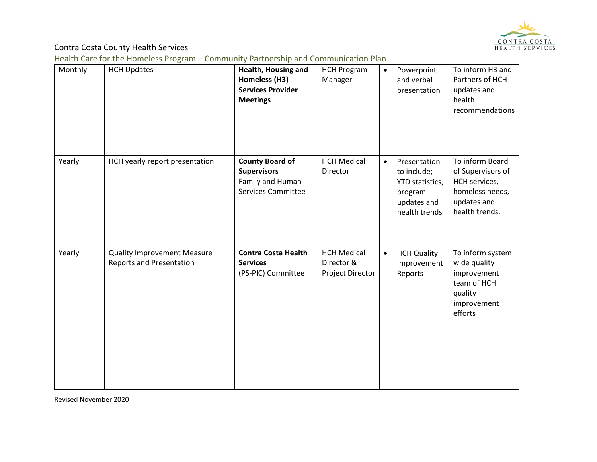

Health Care for the Homeless Program – Community Partnership and Communication Plan

| Monthly | <b>HCH Updates</b>                                                    | <b>Health, Housing and</b><br>Homeless (H3)<br><b>Services Provider</b><br><b>Meetings</b>    | <b>HCH Program</b><br>Manager                        | $\bullet$ | Powerpoint<br>and verbal<br>presentation                                                  | To inform H3 and<br>Partners of HCH<br>updates and<br>health<br>recommendations                           |
|---------|-----------------------------------------------------------------------|-----------------------------------------------------------------------------------------------|------------------------------------------------------|-----------|-------------------------------------------------------------------------------------------|-----------------------------------------------------------------------------------------------------------|
| Yearly  | HCH yearly report presentation                                        | <b>County Board of</b><br><b>Supervisors</b><br>Family and Human<br><b>Services Committee</b> | <b>HCH Medical</b><br>Director                       | $\bullet$ | Presentation<br>to include;<br>YTD statistics,<br>program<br>updates and<br>health trends | To inform Board<br>of Supervisors of<br>HCH services,<br>homeless needs,<br>updates and<br>health trends. |
| Yearly  | <b>Quality Improvement Measure</b><br><b>Reports and Presentation</b> | <b>Contra Costa Health</b><br><b>Services</b><br>(PS-PIC) Committee                           | <b>HCH Medical</b><br>Director &<br>Project Director | $\bullet$ | <b>HCH Quality</b><br>Improvement<br>Reports                                              | To inform system<br>wide quality<br>improvement<br>team of HCH<br>quality<br>improvement<br>efforts       |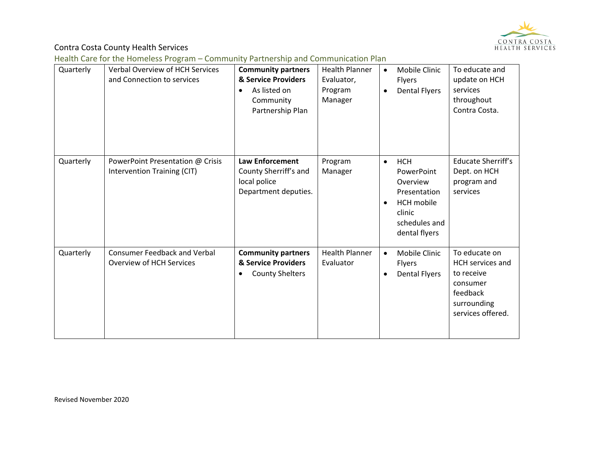

Health Care for the Homeless Program – Community Partnership and Communication Plan

| Quarterly | <b>Verbal Overview of HCH Services</b><br>and Connection to services | <b>Community partners</b><br>& Service Providers<br>As listed on<br>$\bullet$<br>Community<br>Partnership Plan | <b>Health Planner</b><br>Evaluator,<br>Program<br>Manager | Mobile Clinic<br>$\bullet$<br><b>Flyers</b><br><b>Dental Flyers</b>                                                                             | To educate and<br>update on HCH<br>services<br>throughout<br>Contra Costa.                                         |
|-----------|----------------------------------------------------------------------|----------------------------------------------------------------------------------------------------------------|-----------------------------------------------------------|-------------------------------------------------------------------------------------------------------------------------------------------------|--------------------------------------------------------------------------------------------------------------------|
| Quarterly | PowerPoint Presentation @ Crisis<br>Intervention Training (CIT)      | <b>Law Enforcement</b><br>County Sherriff's and<br>local police<br>Department deputies.                        | Program<br>Manager                                        | <b>HCH</b><br>$\bullet$<br>PowerPoint<br>Overview<br>Presentation<br><b>HCH</b> mobile<br>$\bullet$<br>clinic<br>schedules and<br>dental flyers | <b>Educate Sherriff's</b><br>Dept. on HCH<br>program and<br>services                                               |
| Quarterly | <b>Consumer Feedback and Verbal</b><br>Overview of HCH Services      | <b>Community partners</b><br>& Service Providers<br><b>County Shelters</b><br>$\bullet$                        | <b>Health Planner</b><br>Evaluator                        | Mobile Clinic<br>$\bullet$<br><b>Flyers</b><br><b>Dental Flyers</b><br>$\bullet$                                                                | To educate on<br><b>HCH</b> services and<br>to receive<br>consumer<br>feedback<br>surrounding<br>services offered. |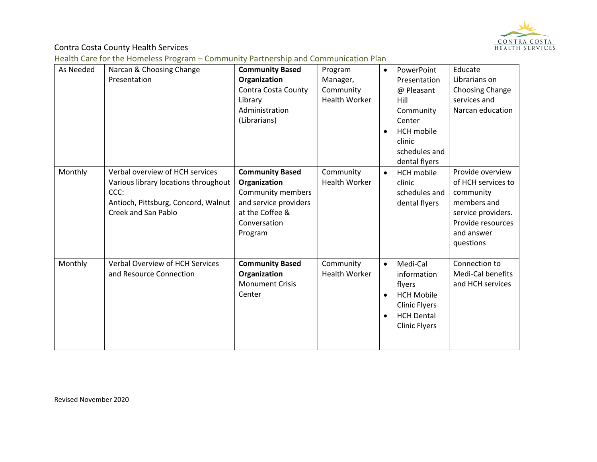

Health Care for the Homeless Program – Community Partnership and Communication Plan

| As Needed | Narcan & Choosing Change<br>Presentation                                                                                                      | <b>Community Based</b><br>Organization<br>Contra Costa County<br>Library<br>Administration<br>(Librarians)                         | Program<br>Manager,<br>Community<br><b>Health Worker</b> | $\bullet$<br>$\bullet$              | PowerPoint<br>Presentation<br>@ Pleasant<br>Hill<br>Community<br>Center<br><b>HCH</b> mobile<br>clinic<br>schedules and<br>dental flyers | Educate<br>Librarians on<br>Choosing Change<br>services and<br>Narcan education                                                          |
|-----------|-----------------------------------------------------------------------------------------------------------------------------------------------|------------------------------------------------------------------------------------------------------------------------------------|----------------------------------------------------------|-------------------------------------|------------------------------------------------------------------------------------------------------------------------------------------|------------------------------------------------------------------------------------------------------------------------------------------|
| Monthly   | Verbal overview of HCH services<br>Various library locations throughout<br>CCC:<br>Antioch, Pittsburg, Concord, Walnut<br>Creek and San Pablo | <b>Community Based</b><br>Organization<br>Community members<br>and service providers<br>at the Coffee &<br>Conversation<br>Program | Community<br><b>Health Worker</b>                        | $\bullet$                           | <b>HCH</b> mobile<br>clinic<br>schedules and<br>dental flyers                                                                            | Provide overview<br>of HCH services to<br>community<br>members and<br>service providers.<br>Provide resources<br>and answer<br>questions |
| Monthly   | <b>Verbal Overview of HCH Services</b><br>and Resource Connection                                                                             | <b>Community Based</b><br>Organization<br><b>Monument Crisis</b><br>Center                                                         | Community<br><b>Health Worker</b>                        | $\bullet$<br>$\bullet$<br>$\bullet$ | Medi-Cal<br>information<br>flyers<br><b>HCH Mobile</b><br><b>Clinic Flyers</b><br><b>HCH Dental</b><br><b>Clinic Flyers</b>              | Connection to<br>Medi-Cal benefits<br>and HCH services                                                                                   |